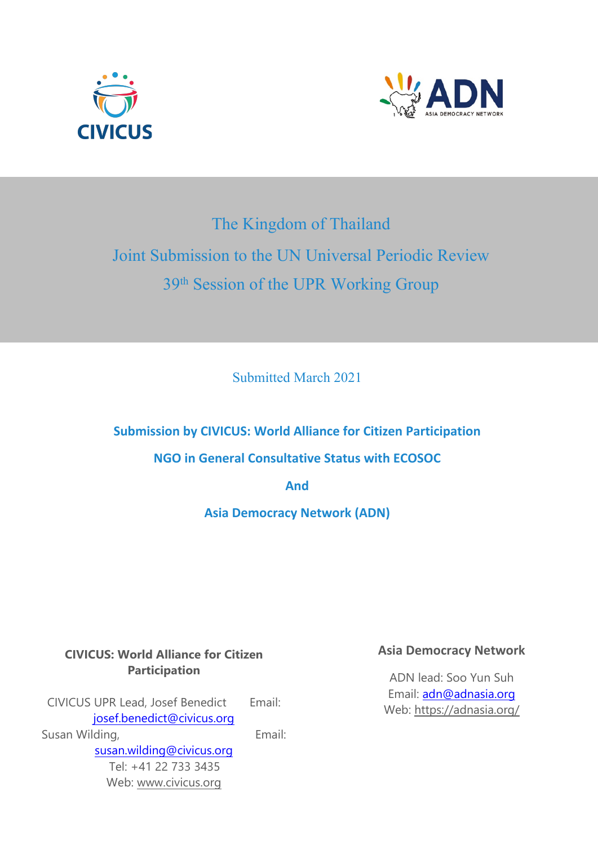



# The Kingdom of Thailand Joint Submission to the UN Universal Periodic Review 39th Session of the UPR Working Group

Submitted March 2021

**Submission by CIVICUS: World Alliance for Citizen Participation NGO in General Consultative Status with ECOSOC**

**And**

**Asia Democracy Network (ADN)**

# **CIVICUS: World Alliance for Citizen Participation**

CIVICUS UPR Lead, Josef Benedict Email: [josef.benedict@civicus.org](mailto:josef.benedict@civicus.org) Susan Wilding, The Contract of the Email: [susan.wilding@civicus.org](mailto:susan.wilding@civicus.org) Tel: +41 22 733 3435 Web: [www.civicus.org](http://www.civicus.org)

## **Asia Democracy Network**

ADN lead: Soo Yun Suh Email: [adn@adnasia.org](mailto:adn@adnasia.org) Web: https://adnasia.org/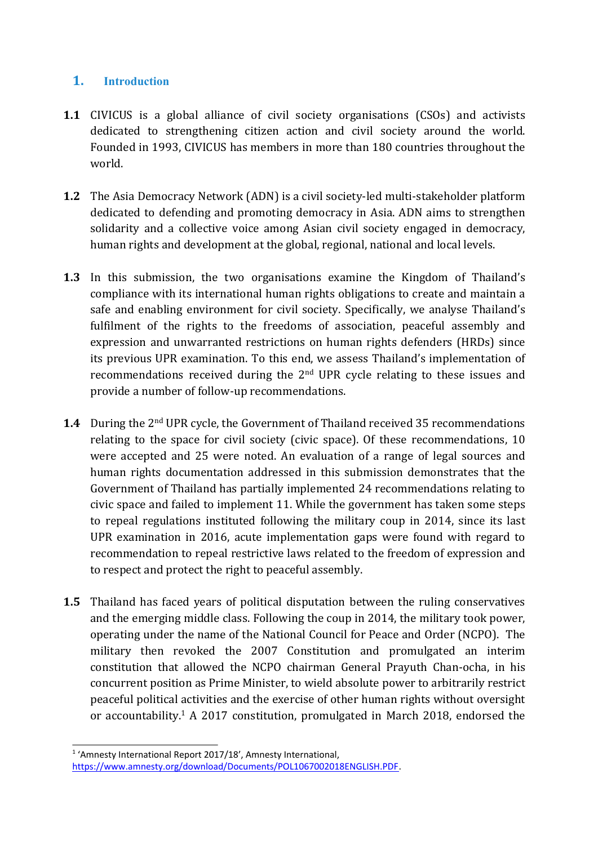## **1. Introduction**

- **1.1** CIVICUS is <sup>a</sup> global alliance of civil society organisations (CSOs) and activists dedicated to strengthening citizen action and civil society around the world. Founded in 1993, CIVICUS has members in more than 180 countries throughout the world.
- **1.2** The Asia Democracy Network (ADN) is <sup>a</sup> civil society-led multi-stakeholder platform dedicated to defending and promoting democracy in Asia. ADN aims to strengthen solidarity and <sup>a</sup> collective voice among Asian civil society engaged in democracy, human rights and development at the global, regional, national and local levels.
- **1.3** In this submission, the two organisations examine the Kingdom of Thailand'<sup>s</sup> compliance with its international human rights obligations to create and maintain <sup>a</sup> safe and enabling environment for civil society. Specifically, we analyse Thailand'<sup>s</sup> fulfilment of the rights to the freedoms of association, peaceful assembly and expression and unwarranted restrictions on human rights defenders (HRDs) since its previous UPR examination. To this end, we assess Thailand'<sup>s</sup> implementation of recommendations received during the 2 $^{\rm{nd}}$  UPR cycle relating to these issues and provide <sup>a</sup> number of follow-up recommendations.
- **1.4** During the <sup>2</sup>nd UPR cycle, the Government of Thailand received 35 recommendations relating to the space for civil society (civic space). Of these recommendations, 10 were accepted and 25 were noted. An evaluation of <sup>a</sup> range of legal sources and human rights documentation addressed in this submission demonstrates that the Government of Thailand has partially implemented 24 recommendations relating to civic space and failed to implement 11. While the governmen<sup>t</sup> has taken some steps to repeal regulations instituted following the military coup in 2014, since its last UPR examination in 2016, acute implementation gaps were found with regard to recommendation to repeal restrictive laws related to the freedom of expression and to respect and protect the right to peaceful assembly.
- **1.5** Thailand has faced years of political disputation between the ruling conservatives and the emerging middle class. Following the coup in 2014, the military took power, operating under the name of the National Council for Peace and Order (NCPO). The military then revoked the 2007 Constitution and promulgated an interim constitution that allowed the NCPO chairman General Prayuth Chan-ocha, in his concurrent position as Prime Minister, to wield absolute power to arbitrarily restrict peaceful political activities and the exercise of other human rights without oversight or accountability. 1 A 2017 constitution, promulgated in March 2018, endorsed the

<sup>&</sup>lt;sup>1</sup> 'Amnesty International Report 2017/18', Amnesty International, <https://www.amnesty.org/download/Documents/POL1067002018ENGLISH.PDF>.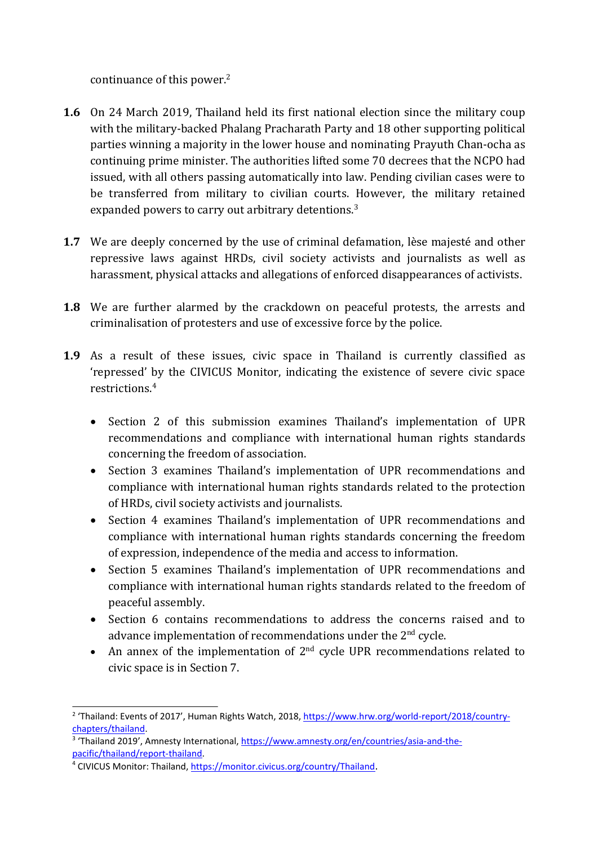continuance of this power. 2

- **1.6** On 24 March 2019, Thailand held its first national election since the military coup with the military-backed Phalang Pracharath Party and 18 other supporting political parties winning <sup>a</sup> majority in the lower house and nominating Prayuth Chan-ocha as continuing prime minister. The authorities lifted some 70 decrees that the NCPO had issued, with all others passing automatically into law. Pending civilian cases were to be transferred from military to civilian courts. However, the military retained expanded powers to carry out arbitrary detentions. $^3$
- **1.7** We are deeply concerned by the use of criminal defamation, lèse majesté and other repressive laws against HRDs, civil society activists and journalists as well as harassment, physical attacks and allegations of enforced disappearances of activists.
- **1.8** We are further alarmed by the crackdown on peaceful protests, the arrests and criminalisation of protesters and use of excessive force by the police.
- **1.9** As <sup>a</sup> result of these issues, civic space in Thailand is currently classified as 'repressed' by the CIVICUS Monitor, indicating the existence of severe civic space restrictions. 4
	- Section 2 of this submission examines Thailand's implementation of UPR recommendations and compliance with international human rights standards concerning the freedom of association.
	- Section 3 examines Thailand's implementation of UPR recommendations and compliance with international human rights standards related to the protection of HRDs, civil society activists and journalists.
	- Section 4 examines Thailand'<sup>s</sup> implementation of UPR recommendations and compliance with international human rights standards concerning the freedom of expression, independence of the media and access to information.
	- Section 5 examines Thailand's implementation of UPR recommendations and compliance with international human rights standards related to the freedom of peaceful assembly.
	- Section 6 contains recommendations to address the concerns raised and to advance implementation of recommendations under the 2 $^{\rm{nd}}$  cycle.
	- An annex of the implementation of  $2<sup>nd</sup>$  cycle UPR recommendations related to civic space is in Section 7.

<sup>&</sup>lt;sup>2</sup> 'Thailand: Events of 2017', Human Rights Watch, 2018, [https://www.hrw.org/world-report/2018/country](https://www.hrw.org/world-report/2018/country-chapters/thailand)[chapters/thailand](https://www.hrw.org/world-report/2018/country-chapters/thailand).

<sup>&</sup>lt;sup>3</sup> 'Thailand 2019', Amnesty International, [https://www.amnesty.org/en/countries/asia-and-the](https://www.amnesty.org/en/countries/asia-and-the-pacific/thailand/report-thailand/)[pacific/thailand/report-thailand](https://www.amnesty.org/en/countries/asia-and-the-pacific/thailand/report-thailand/).

<sup>&</sup>lt;sup>4</sup> CIVICUS Monitor: Thailand, [https://monitor.civicus.org/country/Thailand](https://monitor.civicus.org/country/myanmar).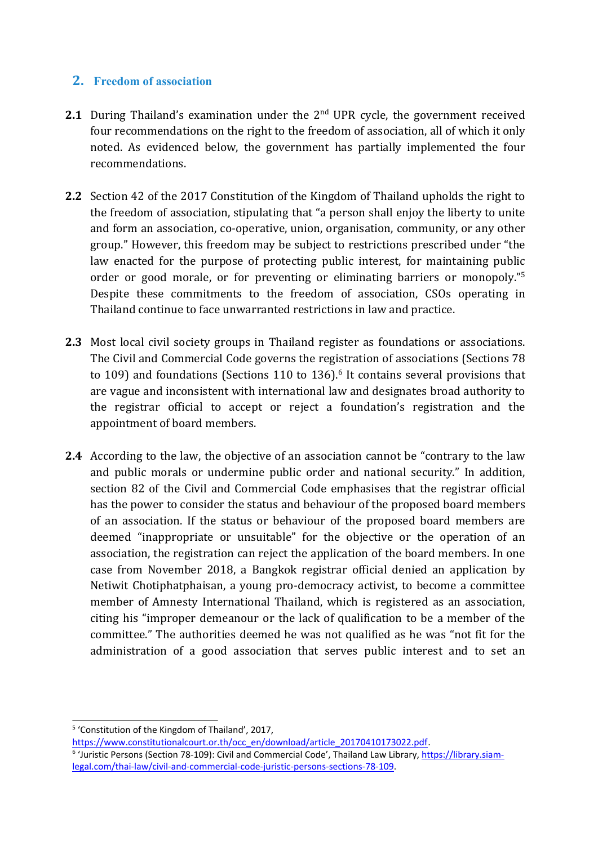## **2. Freedom of association**

- **2.1** During Thailand'<sup>s</sup> examination under the <sup>2</sup>nd UPR cycle, the governmen<sup>t</sup> received four recommendations on the right to the freedom of association, all of which it only noted. As evidenced below, the governmen<sup>t</sup> has partially implemented the four recommendations.
- **2.2** Section 42 of the 2017 Constitution of the Kingdom of Thailand upholds the right to the freedom of association, stipulating that "<sup>a</sup> person shall enjoy the liberty to unite and form an association, co-operative, union, organisation, community, or any other group." However, this freedom may be subject to restrictions prescribed under "the law enacted for the purpose of protecting public interest, for maintaining public order or good morale, or for preventing or eliminating barriers or monopoly." 5 Despite these commitments to the freedom of association, CSOs operating in Thailand continue to face unwarranted restrictions in law and practice.
- **2.3** Most local civil society groups in Thailand register as foundations or associations. The Civil and Commercial Code governs the registration of associations (Sections 78 to 109) and foundations (Sections 110 to 136). 6 It contains several provisions that are vague and inconsistent with international law and designates broad authority to the registrar official to accept or reject <sup>a</sup> foundation'<sup>s</sup> registration and the appointment of board members.
- **2.4** According to the law, the objective of an association cannot be "contrary to the law and public morals or undermine public order and national security." In addition, section 82 of the Civil and Commercial Code emphasises that the registrar official has the power to consider the status and behaviour of the proposed board members of an association. If the status or behaviour of the proposed board members are deemed "inappropriate or unsuitable" for the objective or the operation of an association, the registration can reject the application of the board members. In one case from November 2018, <sup>a</sup> Bangkok registrar official denied an application by Netiwit Chotiphatphaisan, <sup>a</sup> young pro-democracy activist, to become <sup>a</sup> committee member of Amnesty International Thailand, which is registered as an association, citing his "improper demeanour or the lack of qualification to be <sup>a</sup> member of the committee." The authorities deemed he was not qualified as he was "not fit for the administration of <sup>a</sup> good association that serves public interest and to set an

4

<sup>5</sup> 'Constitution of the Kingdom of Thailand', 2017,

[https://www.constitutionalcourt.or.th/occ\\_en/download/article\\_20170410173022.pdf](https://www.constitutionalcourt.or.th/occ_en/download/article_20170410173022.pdf). <sup>6</sup> 'Juristic Persons (Section 78-109): Civil and Commercial Code', Thailand Law Library, [https://library.siam](https://library.siam-legal.com/thai-law/civil-and-commercial-code-juristic-persons-sections-78-109/)[legal.com/thai-law/civil-and-commercial-code-juristic-persons-sections-78-109](https://library.siam-legal.com/thai-law/civil-and-commercial-code-juristic-persons-sections-78-109/).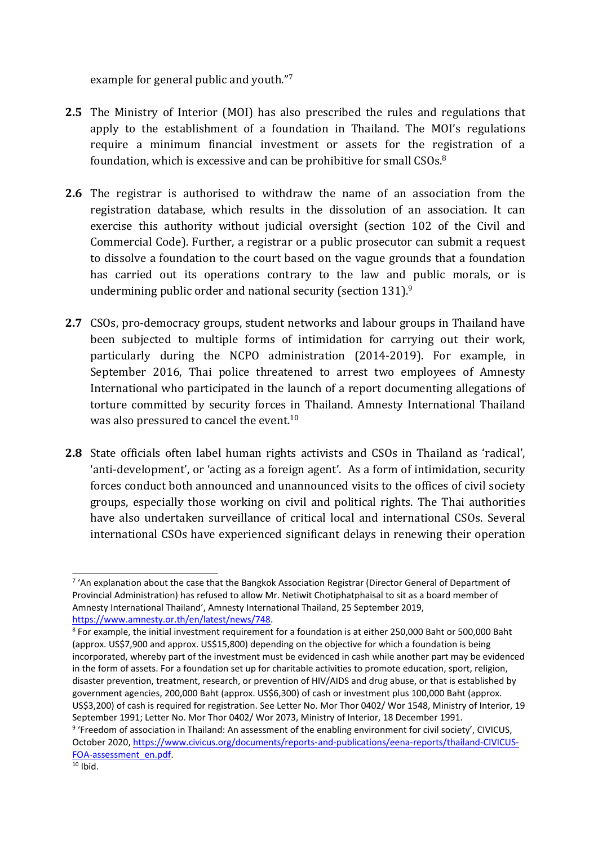example for general public and youth." 7

- **2.5** The Ministry of Interior (MOI) has also prescribed the rules and regulations that apply to the establishment of <sup>a</sup> foundation in Thailand. The MOI'<sup>s</sup> regulations require <sup>a</sup> minimum financial investment or assets for the registration of <sup>a</sup> foundation, which is excessive and can be prohibitive for small  $\mathsf{CSOs}.\varepsilon$
- **2.6** The registrar is authorised to withdraw the name of an association from the registration database, which results in the dissolution of an association. It can exercise this authority without judicial oversight (section 102 of the Civil and Commercial Code). Further, <sup>a</sup> registrar or <sup>a</sup> public prosecutor can submit <sup>a</sup> request to dissolve <sup>a</sup> foundation to the court based on the vague grounds that <sup>a</sup> foundation has carried out its operations contrary to the law and public morals, or is undermining public order and national security (section 131). $^9$
- **2.7** CSOs, pro-democracy groups, student networks and labour groups in Thailand have been subjected to multiple forms of intimidation for carrying out their work, particularly during the NCPO administration (2014-2019). For example, in September 2016, Thai police threatened to arrest two employees of Amnesty International who participated in the launch of <sup>a</sup> report documenting allegations of torture committed by security forces in Thailand. Amnesty International Thailand was also pressured to cancel the event. $^{\rm 10}$
- **2.8** State officials often label human rights activists and CSOs in Thailand as 'radical', 'anti-development', or 'acting as <sup>a</sup> foreign agent'. As <sup>a</sup> form of intimidation, security forces conduct both announced and unannounced visits to the offices of civil society groups, especially those working on civil and political rights. The Thai authorities have also undertaken surveillance of critical local and international CSOs. Several international CSOs have experienced significant delays in renewing their operation

<sup>&</sup>lt;sup>7</sup> 'An explanation about the case that the Bangkok Association Registrar (Director General of Department of Provincial Administration) has refused to allow Mr. Netiwit Chotiphatphaisal to sit as <sup>a</sup> board member of Amnesty International Thailand', Amnesty International Thailand, 25 September 2019, <https://www.amnesty.or.th/en/latest/news/748>.

<sup>8</sup> For example, the initial investment requirement for <sup>a</sup> foundation is at either 250,000 Baht or 500,000 Baht (approx. US\$7,900 and approx. US\$15,800) depending on the objective for which <sup>a</sup> foundation is being incorporated, whereby part of the investment must be evidenced in cash while another part may be evidenced in the form of assets. For <sup>a</sup> foundation set up for charitable activities to promote education, sport, religion, disaster prevention, treatment, research, or prevention of HIV/AIDS and drug abuse, or that is established by government agencies, 200,000 Baht (approx. US\$6,300) of cash or investment plus 100,000 Baht (approx. US\$3,200) of cash is required for registration. See Letter No. Mor Thor 0402/ Wor 1548, Ministry of Interior, 19 September 1991; Letter No. Mor Thor 0402/ Wor 2073, Ministry of Interior, 18 December 1991.

<sup>9</sup> 'Freedom of association in Thailand: An assessment of the enabling environment for civil society', CIVICUS, October 2020, [https://www.civicus.org/documents/reports-and-publications/eena-reports/thailand-CIVICUS-](https://www.civicus.org/documents/reports-and-publications/eena-reports/thailand-CIVICUS-FOA-assessment_en.pdf)[FOA-assessment\\_en.pdf](https://www.civicus.org/documents/reports-and-publications/eena-reports/thailand-CIVICUS-FOA-assessment_en.pdf).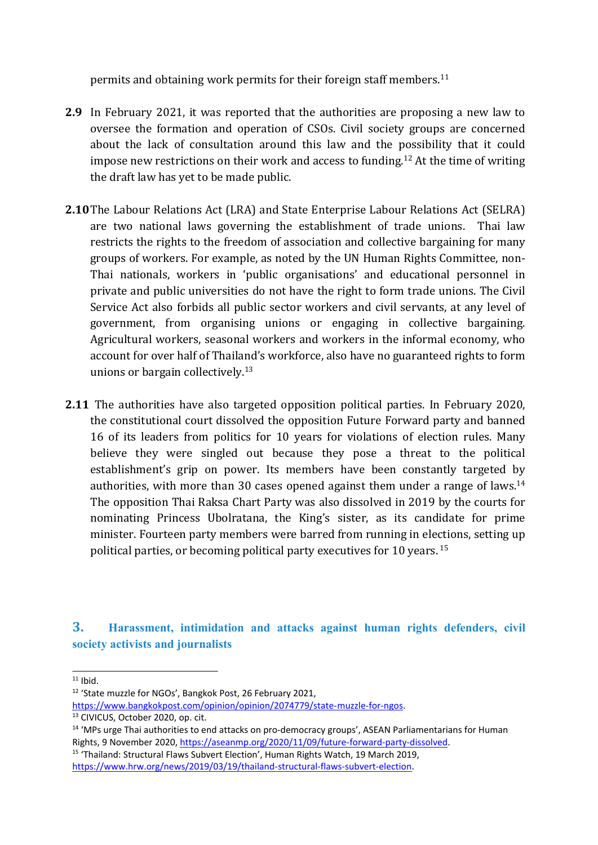permits and obtaining work permits for their foreign staff members. 11

- **2.9** In February 2021, it was reported that the authorities are proposing <sup>a</sup> new law to oversee the formation and operation of CSOs. Civil society groups are concerned about the lack of consultation around this law and the possibility that it could impose new restrictions on their work and access to funding. $^\mathrm{12}$  At the time of writing the draft law has yet to be made public.
- **2.10**The Labour Relations Act (LRA) and State Enterprise Labour Relations Act (SELRA) are two national laws governing the establishment of trade unions. Thai law restricts the rights to the freedom of association and collective bargaining for many groups of workers. For example, as noted by the UN Human Rights Committee, non-Thai nationals, workers in 'public organisations' and educational personnel in private and public universities do not have the right to form trade unions. The Civil Service Act also forbids all public sector workers and civil servants, at any level of government, from organising unions or engaging in collective bargaining. Agricultural workers, seasonal workers and workers in the informal economy, who account for over half of Thailand'<sup>s</sup> workforce, also have no guaranteed rights to form unions or bargain collectively. 13
- **2.11** The authorities have also targeted opposition political parties. In February 2020, the constitutional court dissolved the opposition Future Forward party and banned 16 of its leaders from politics for 10 years for violations of election rules. Many believe they were singled out because they pose <sup>a</sup> threat to the political establishment'<sup>s</sup> grip on power. Its members have been constantly targeted by authorities, with more than 30 cases opened against them under a range of laws. $^{14}$ The opposition Thai Raksa Chart Party was also dissolved in 2019 by the courts for nominating Princess Ubolratana, the King'<sup>s</sup> sister, as its candidate for prime minister. Fourteen party members were barred from running in elections, setting up political parties, or becoming political party executives for 10 years.  $^{\rm 15}$

**3. Harassment, intimidation and attacks against human rights defenders, civil society activists and journalists**

 $11$  Ibid.

<sup>&</sup>lt;sup>12</sup> 'State muzzle for NGOs', Bangkok Post, 26 February 2021,

<https://www.bangkokpost.com/opinion/opinion/2074779/state-muzzle-for-ngos>. <sup>13</sup> CIVICUS, October 2020, op. cit.

<sup>&</sup>lt;sup>14</sup> 'MPs urge Thai authorities to end attacks on pro-democracy groups', ASEAN Parliamentarians for Human Rights, 9 November 2020, [https://aseanmp.org/2020/11/09/future-forward-party-dissolved](https://aseanmp.org/2020/11/09/future-forward-party-dissolved/).

<sup>&</sup>lt;sup>15</sup> 'Thailand: Structural Flaws Subvert Election', Human Rights Watch, 19 March 2019, <https://www.hrw.org/news/2019/03/19/thailand-structural-flaws-subvert-election>.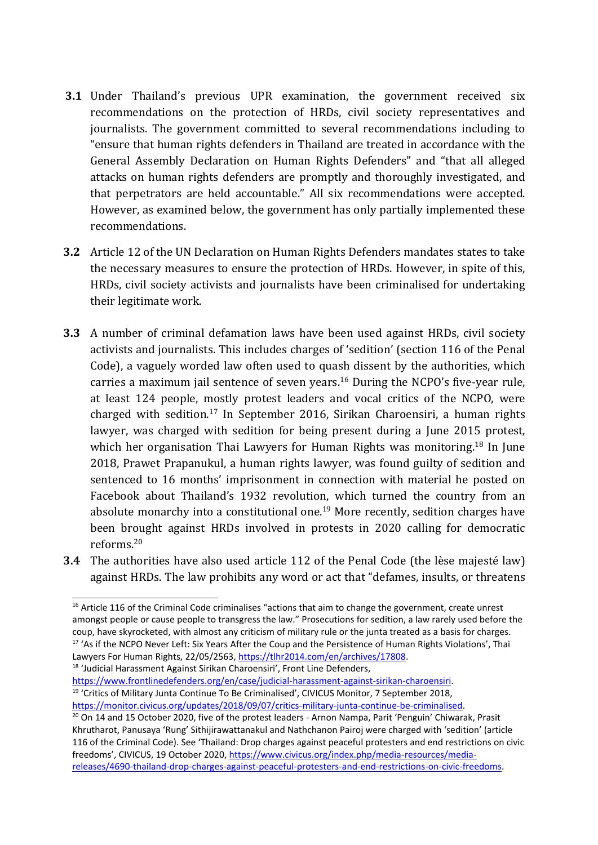- **3.1** Under Thailand'<sup>s</sup> previous UPR examination, the governmen<sup>t</sup> received six recommendations on the protection of HRDs, civil society representatives and journalists. The governmen<sup>t</sup> committed to several recommendations including to "ensure that human rights defenders in Thailand are treated in accordance with the General Assembly Declaration on Human Rights Defenders" and "that all alleged attacks on human rights defenders are promptly and thoroughly investigated, and that perpetrators are held accountable." All six recommendations were accepted. However, as examined below, the governmen<sup>t</sup> has only partially implemented these recommendations.
- **3.2** Article 12 of the UN Declaration on Human Rights Defenders mandates states to take the necessary measures to ensure the protection of HRDs. However, in spite of this, HRDs, civil society activists and journalists have been criminalised for undertaking their legitimate work.
- **3.3** A number of criminal defamation laws have been used against HRDs, civil society activists and journalists. This includes charges of 'sedition' (section 116 of the Penal Code), <sup>a</sup> vaguely worded law often used to quash dissent by the authorities, which carries <sup>a</sup> maximum jail sentence of seven years. 16 During the NCPO'<sup>s</sup> five-year rule, at least 124 people, mostly protest leaders and vocal critics of the NCPO, were charged with sedition.<sup>17</sup> In September 2016, Sirikan Charoensiri, a human rights lawyer, was charged with sedition for being present during <sup>a</sup> June 2015 protest, which her organisation Thai Lawyers for Human Rights was monitoring.<sup>18</sup> In June 2018, Prawet Prapanukul, <sup>a</sup> human rights lawyer, was found guilty of sedition and sentenced to 16 months' imprisonment in connection with material he posted on Facebook about Thailand'<sup>s</sup> 1932 revolution, which turned the country from an absolute monarchy into a constitutional one.<sup>19</sup> More recently, sedition charges have been brought against HRDs involved in protests in 2020 calling for democratic reforms. 20
- **3.4** The authorities have also used article 112 of the Penal Code (the lèse majesté law) against HRDs. The law prohibits any word or act that "defames, insults, or threatens

<sup>18</sup> 'Judicial Harassment Against Sirikan Charoensiri', Front Line Defenders,

<sup>19</sup> 'Critics of Military Junta Continue To Be Criminalised', CIVICUS Monitor, 7 September 2018, [https://monitor.civicus.org/updates/2018/09/07/critics-military-junta-continue-be-criminalised](https://monitor.civicus.org/updates/2018/09/07/critics-military-junta-continue-be-criminalised/).

7

<sup>&</sup>lt;sup>16</sup> Article 116 of the Criminal Code criminalises "actions that aim to change the government, create unrest amongst people or cause people to transgress the law." Prosecutions for sedition, <sup>a</sup> law rarely used before the coup, have skyrocketed, with almost any criticism of military rule or the junta treated as <sup>a</sup> basis for charges. <sup>17</sup> 'As if the NCPO Never Left: Six Years After the Coup and the Persistence of Human Rights Violations', Thai Lawyers For Human Rights, 22/05/2563, <https://tlhr2014.com/en/archives/17808>.

<https://www.frontlinedefenders.org/en/case/judicial-harassment-against-sirikan-charoensiri>.

<sup>&</sup>lt;sup>20</sup> On 14 and 15 October 2020, five of the protest leaders - Arnon Nampa, Parit 'Penguin' Chiwarak, Prasit Khrutharot, Panusaya 'Rung' Sithijirawattanakul and Nathchanon Pairoj were charged with 'sedition' (article 116 of the Criminal Code). See 'Thailand: Drop charges against peaceful protesters and end restrictions on civic freedoms', CIVICUS, 19 October 2020, [https://www.civicus.org/index.php/media-resources/media](https://www.civicus.org/index.php/media-resources/media-releases/4690-thailand-drop-charges-against-peaceful-protesters-and-end-restrictions-on-civic-freedoms)[releases/4690-thailand-drop-charges-against-peaceful-protesters-and-end-restrictions-on-civic-freedoms](https://www.civicus.org/index.php/media-resources/media-releases/4690-thailand-drop-charges-against-peaceful-protesters-and-end-restrictions-on-civic-freedoms).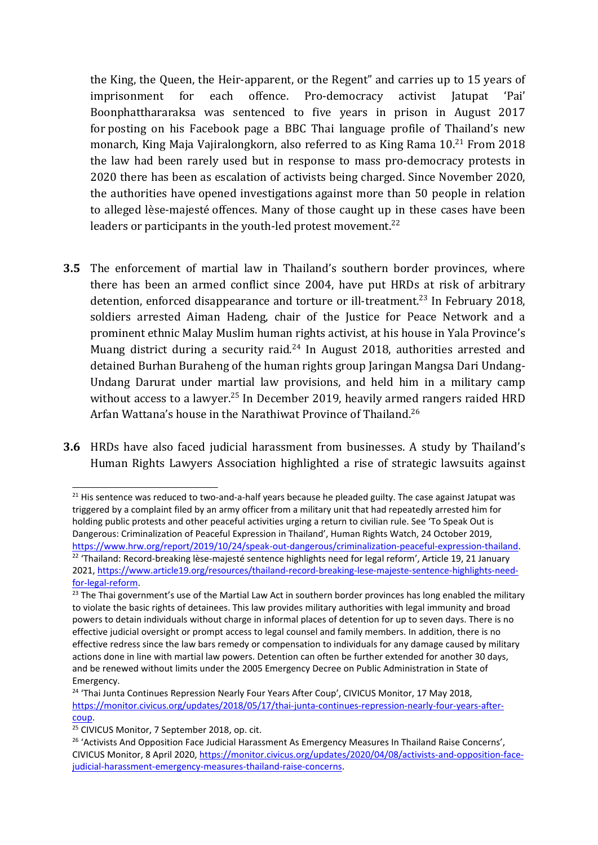the King, the Queen, the Heir-apparent, or the Regent" and carries up to 15 years of imprisonment for each offence. Pro-democracy activist Jatupat 'Pai' Boonphatthararaksa was sentenced to five years in prison in August 2017 for posting on his Facebook page <sup>a</sup> BBC Thai language profile of Thailand'<sup>s</sup> new monarch, King Maja Vajiralongkorn, also referred to as King Rama 10.<sup>21</sup> From 2018 the law had been rarely used but in response to mass pro-democracy protests in 2020 there has been as escalation of activists being charged. Since November 2020, the authorities have opened investigations against more than 50 people in relation to alleged lèse-majesté offences. Many of those caught up in these cases have been leaders or participants in the youth-led protest movement.<sup>22</sup>

- **3.5** The enforcement of martial law in Thailand'<sup>s</sup> southern border provinces, where there has been an armed conflict since 2004, have put HRDs at risk of arbitrary detention, enforced disappearance and torture or ill-treatment.<sup>23</sup> In February 2018, soldiers arrested Aiman Hadeng, chair of the Justice for Peace Network and <sup>a</sup> prominent ethnic Malay Muslim human rights activist, at his house in Yala Province'<sup>s</sup> Muang district during a security raid.<sup>24</sup> In August 2018, authorities arrested and detained Burhan Buraheng of the human rights group Jaringan Mangsa Dari Undang-Undang Darurat under martial law provisions, and held him in <sup>a</sup> military camp without access to a lawyer.<sup>25</sup> In December 2019, heavily armed rangers raided HRD Arfan Wattana's house in the Narathiwat Province of Thailand.<sup>26</sup>
- **3.6** HRDs have also faced judicial harassment from businesses. A study by Thailand'<sup>s</sup> Human Rights Lawyers Association highlighted <sup>a</sup> rise of strategic lawsuits against

<sup>&</sup>lt;sup>21</sup> His sentence was reduced to two-and-a-half years because he pleaded guilty. The case against Jatupat was triggered by <sup>a</sup> complaint filed by an army officer from <sup>a</sup> military unit that had repeatedly arrested him for holding public protests and other peaceful activities urging <sup>a</sup> return to civilian rule. See 'To Speak Out is Dangerous: Criminalization of Peaceful Expression in Thailand', Human Rights Watch, 24 October 2019, <https://www.hrw.org/report/2019/10/24/speak-out-dangerous/criminalization-peaceful-expression-thailand>.

<sup>&</sup>lt;sup>22</sup> 'Thailand: Record-breaking lèse-majesté sentence highlights need for legal reform', Article 19, 21 January 2021, [https://www.article19.org/resources/thailand-record-breaking-lese-majeste-sentence-highlights-need](https://www.article19.org/resources/thailand-record-breaking-lese-majeste-sentence-highlights-need-for-legal-reform/)[for-legal-reform](https://www.article19.org/resources/thailand-record-breaking-lese-majeste-sentence-highlights-need-for-legal-reform/).

<sup>&</sup>lt;sup>23</sup> The Thai government's use of the Martial Law Act in southern border provinces has long enabled the military to violate the basic rights of detainees. This law provides military authorities with legal immunity and broad powers to detain individuals without charge in informal places of detention for up to seven days. There is no effective judicial oversight or prompt access to legal counsel and family members. In addition, there is no effective redress since the law bars remedy or compensation to individuals for any damage caused by military actions done in line with martial law powers. Detention can often be further extended for another 30 days, and be renewed without limits under the 2005 Emergency Decree on Public Administration in State of Emergency.

<sup>&</sup>lt;sup>24</sup> 'Thai Junta Continues Repression Nearly Four Years After Coup', CIVICUS Monitor, 17 May 2018, [https://monitor.civicus.org/updates/2018/05/17/thai-junta-continues-repression-nearly-four-years-after](https://monitor.civicus.org/updates/2018/05/17/thai-junta-continues-repression-nearly-four-years-after-coup/)[coup](https://monitor.civicus.org/updates/2018/05/17/thai-junta-continues-repression-nearly-four-years-after-coup/).

<sup>25</sup> CIVICUS Monitor, 7 September 2018, op. cit.

<sup>&</sup>lt;sup>26</sup> 'Activists And Opposition Face Judicial Harassment As Emergency Measures In Thailand Raise Concerns', CIVICUS Monitor, 8 April 2020, [https://monitor.civicus.org/updates/2020/04/08/activists-and-opposition-face](https://monitor.civicus.org/updates/2020/04/08/activists-and-opposition-face-judicial-harassment-emergency-measures-thailand-raise-concerns/)[judicial-harassment-emergency-measures-thailand-raise-concerns](https://monitor.civicus.org/updates/2020/04/08/activists-and-opposition-face-judicial-harassment-emergency-measures-thailand-raise-concerns/).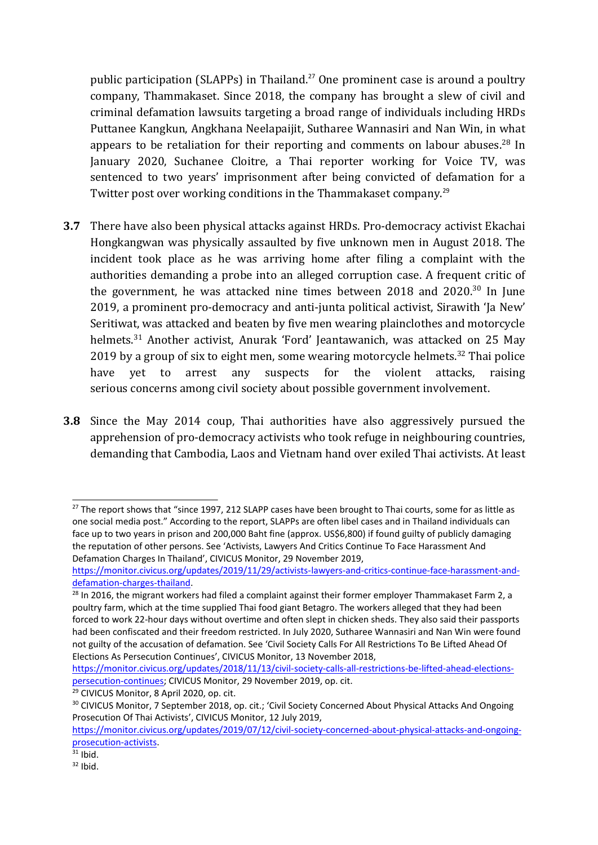public participation (SLAPPs) in Thailand. 27 One prominent case is around <sup>a</sup> poultry company, Thammakaset. Since 2018, the company has brought <sup>a</sup> slew of civil and criminal defamation lawsuits targeting <sup>a</sup> broad range of individuals including HRDs Puttanee Kangkun, Angkhana Neelapaijit, Sutharee Wannasiri and Nan Win, in what appears to be retaliation for their reporting and comments on labour abuses.<sup>28</sup> In January 2020, Suchanee Cloitre, <sup>a</sup> Thai reporter working for Voice TV, was sentenced to two years' imprisonment after being convicted of defamation for <sup>a</sup> Twitter post over working conditions in the Thammakaset company. $^{25}$ 

- **3.7** There have also been physical attacks against HRDs. Pro-democracy activist Ekachai Hongkangwan was physically assaulted by five unknown men in August 2018. The incident took place as he was arriving home after filing <sup>a</sup> complaint with the authorities demanding <sup>a</sup> probe into an alleged corruption case. A frequent critic of the government, he was attacked nine times between 2018 and 2020.<sup>30</sup> In June 2019, <sup>a</sup> prominent pro-democracy and anti-junta political activist, Sirawith 'Ja New' Seritiwat, was attacked and beaten by five men wearing plainclothes and motorcycle helmets.<sup>31</sup> Another activist, Anurak 'Ford' Jeantawanich, was attacked on 25 May 2019 by a group of six to eight men, some wearing motorcycle helmets.<sup>32</sup> Thai police have yet to arrest any suspects for the violent attacks, raising serious concerns among civil society about possible governmen<sup>t</sup> involvement.
- **3.8** Since the May 2014 coup, Thai authorities have also aggressively pursued the apprehension of pro-democracy activists who took refuge in neighbouring countries, demanding that Cambodia, Laos and Vietnam hand over exiled Thai activists. At least

 $^{27}$  The report shows that "since 1997, 212 SLAPP cases have been brought to Thai courts, some for as little as one social media post." According to the report, SLAPPs are often libel cases and in Thailand individuals can face up to two years in prison and 200,000 Baht fine (approx. US\$6,800) if found guilty of publicly damaging the reputation of other persons. See 'Activists, Lawyers And Critics Continue To Face Harassment And Defamation Charges In Thailand', CIVICUS Monitor, 29 November 2019,

[https://monitor.civicus.org/updates/2019/11/29/activists-lawyers-and-critics-continue-face-harassment-and](https://monitor.civicus.org/updates/2019/11/29/activists-lawyers-and-critics-continue-face-harassment-and-defamation-charges-thailand/)[defamation-charges-thailand](https://monitor.civicus.org/updates/2019/11/29/activists-lawyers-and-critics-continue-face-harassment-and-defamation-charges-thailand/).

<sup>&</sup>lt;sup>28</sup> In 2016, the migrant workers had filed a complaint against their former employer Thammakaset Farm 2, a poultry farm, which at the time supplied Thai food giant Betagro. The workers alleged that they had been forced to work 22-hour days without overtime and often slept in chicken sheds. They also said their passports had been confiscated and their freedom restricted. In July 2020, Sutharee Wannasiri and Nan Win were found not guilty of the accusation of defamation. See 'Civil Society Calls For All Restrictions To Be Lifted Ahead Of Elections As Persecution Continues', CIVICUS Monitor, 13 November 2018,

[https://monitor.civicus.org/updates/2018/11/13/civil-society-calls-all-restrictions-be-lifted-ahead-elections](https://monitor.civicus.org/updates/2018/11/13/civil-society-calls-all-restrictions-be-lifted-ahead-elections-persecution-continues/)[persecution-continues](https://monitor.civicus.org/updates/2018/11/13/civil-society-calls-all-restrictions-be-lifted-ahead-elections-persecution-continues/); CIVICUS Monitor, 29 November 2019, op. cit.

<sup>&</sup>lt;sup>29</sup> CIVICUS Monitor, 8 April 2020, op. cit.

<sup>&</sup>lt;sup>30</sup> CIVICUS Monitor, 7 September 2018, op. cit.; 'Civil Society Concerned About Physical Attacks And Ongoing Prosecution Of Thai Activists', CIVICUS Monitor, 12 July 2019,

[https://monitor.civicus.org/updates/2019/07/12/civil-society-concerned-about-physical-attacks-and-ongoing](https://monitor.civicus.org/updates/2019/07/12/civil-society-concerned-about-physical-attacks-and-ongoing-prosecution-activists/)[prosecution-activists](https://monitor.civicus.org/updates/2019/07/12/civil-society-concerned-about-physical-attacks-and-ongoing-prosecution-activists/).

 $31$  Ibid.

 $32$  Ibid.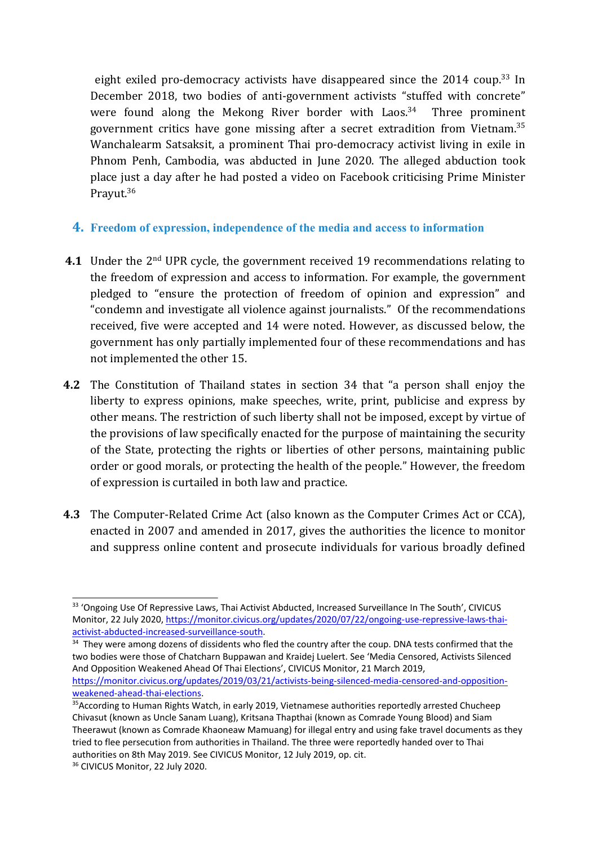eight exiled pro-democracy activists have disappeared since the 2014 coup. 33 In December 2018, two bodies of anti-government activists "stuffed with concrete" were found along the Mekong River border with Laos.<sup>34</sup> Three prominent government critics have gone missing after a secret extradition from Vietnam.<sup>35</sup> Wanchalearm Satsaksit, <sup>a</sup> prominent Thai pro-democracy activist living in exile in Phnom Penh, Cambodia, was abducted in June 2020. The alleged abduction took place just <sup>a</sup> day after he had posted <sup>a</sup> video on Facebook criticising Prime Minister Prayut.<sup>36</sup>

## **4. Freedom of expression, independence of the media and access to information**

- **4.1** Under the 2nd UPR cycle, the governmen<sup>t</sup> received 19 recommendations relating to the freedom of expression and access to information. For example, the governmen<sup>t</sup> pledged to "ensure the protection of freedom of opinion and expression" and "condemn and investigate all violence against journalists." Of the recommendations received, five were accepted and 14 were noted. However, as discussed below, the governmen<sup>t</sup> has only partially implemented four of these recommendations and has not implemented the other 15.
- **4.2** The Constitution of Thailand states in section 34 that "<sup>a</sup> person shall enjoy the liberty to express opinions, make speeches, write, print, publicise and express by other means. The restriction of such liberty shall not be imposed, except by virtue of the provisions of law specifically enacted for the purpose of maintaining the security of the State, protecting the rights or liberties of other persons, maintaining public order or good morals, or protecting the health of the people." However, the freedom of expression is curtailed in both law and practice.
- **4.3** The Computer-Related Crime Act (also known as the Computer Crimes Act or CCA), enacted in 2007 and amended in 2017, gives the authorities the licence to monitor and suppress online content and prosecute individuals for various broadly defined

<sup>&</sup>lt;sup>33</sup> 'Ongoing Use Of Repressive Laws, Thai Activist Abducted, Increased Surveillance In The South', CIVICUS Monitor, 22 July 2020, [https://monitor.civicus.org/updates/2020/07/22/ongoing-use-repressive-laws-thai](https://monitor.civicus.org/updates/2020/07/22/ongoing-use-repressive-laws-thai-activist-abducted-increased-surveillance-south/)[activist-abducted-increased-surveillance-south](https://monitor.civicus.org/updates/2020/07/22/ongoing-use-repressive-laws-thai-activist-abducted-increased-surveillance-south/).

<sup>&</sup>lt;sup>34</sup> They were among dozens of dissidents who fled the country after the coup. DNA tests confirmed that the two bodies were those of Chatcharn Buppawan and Kraidej Luelert. See 'Media Censored, Activists Silenced And Opposition Weakened Ahead Of Thai Elections', CIVICUS Monitor, 21 March 2019, [https://monitor.civicus.org/updates/2019/03/21/activists-being-silenced-media-censored-and-opposition](https://monitor.civicus.org/updates/2019/03/21/activists-being-silenced-media-censored-and-opposition-weakened-ahead-thai-elections/)[weakened-ahead-thai-elections](https://monitor.civicus.org/updates/2019/03/21/activists-being-silenced-media-censored-and-opposition-weakened-ahead-thai-elections/).

<sup>&</sup>lt;sup>35</sup>According to Human Rights Watch, in early 2019, Vietnamese authorities reportedly arrested Chucheep Chivasut (known as Uncle Sanam Luang), Kritsana Thapthai (known as Comrade Young Blood) and Siam Theerawut (known as Comrade Khaoneaw Mamuang) for illegal entry and using fake travel documents as they tried to flee persecution from authorities in Thailand. The three were reportedly handed over to Thai authorities on 8th May 2019. See CIVICUS Monitor, 12 July 2019, op. cit.

<sup>&</sup>lt;sup>36</sup> CIVICUS Monitor, 22 July 2020.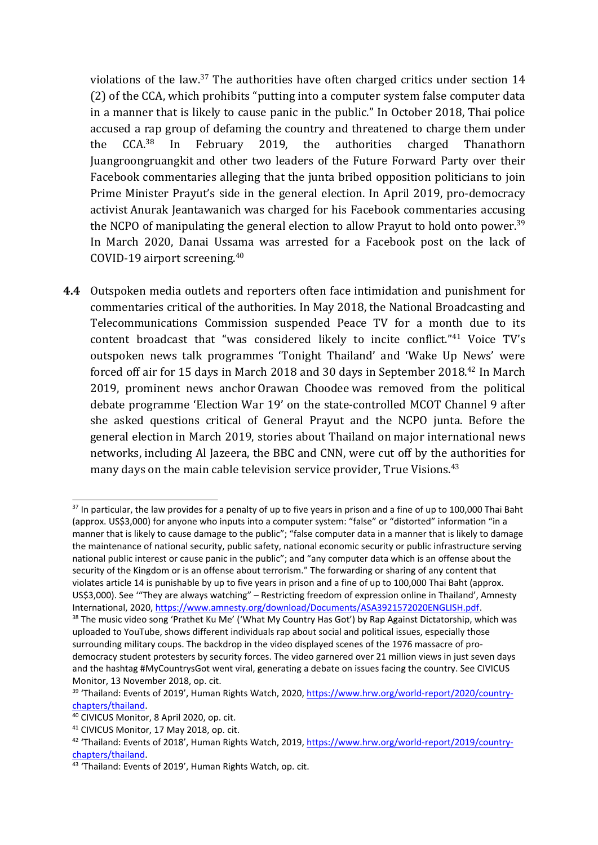violations of the law.<sup>37</sup> The authorities have often charged critics under section 14 (2) of the CCA, which prohibits "putting into <sup>a</sup> computer system false computer data in <sup>a</sup> manner that is likely to cause panic in the public." In October 2018, Thai police accused <sup>a</sup> rap group of defaming the country and threatened to charge them under the CCA.<sup>38</sup> In February 2019, the authorities charged Thanathorn Juangroongruangkit and other two leaders of the Future Forward Party over their Facebook commentaries alleging that the junta bribed opposition politicians to join Prime Minister Prayut'<sup>s</sup> side in the general election. In April 2019, pro-democracy activist Anurak Jeantawanich was charged for his Facebook commentaries accusing the NCPO of manipulating the general election to allow Prayut to hold onto power. $^{39}$ In March 2020, Danai Ussama was arrested for <sup>a</sup> Facebook post on the lack of COVID-19 airport screening. $^{40}$ 

**4.4** Outspoken media outlets and reporters often face intimidation and punishment for commentaries critical of the authorities. In May 2018, the National Broadcasting and Telecommunications Commission suspended Peace TV for <sup>a</sup> month due to its content broadcast that "was considered likely to incite conflict."<sup>41</sup> Voice TV's outspoken news talk programmes 'Tonight Thailand' and 'Wake Up News' were forced off air for 15 days in March 2018 and 30 days in September 2018. 42 In March 2019, prominent news anchor Orawan Choodee was removed from the political debate programme 'Election War 19' on the state-controlled MCOT Channel 9 after she asked questions critical of General Prayut and the NCPO junta. Before the general election in March 2019, stories about Thailand on major international news networks, including Al Jazeera, the BBC and CNN, were cut off by the authorities for many days on the main cable television service provider, True Visions. 43

 $37$  In particular, the law provides for a penalty of up to five years in prison and a fine of up to 100,000 Thai Baht (approx. US\$3,000) for anyone who inputs into <sup>a</sup> computer system: "false" or "distorted" information "in <sup>a</sup> manner that is likely to cause damage to the public"; "false computer data in <sup>a</sup> manner that is likely to damage the maintenance of national security, public safety, national economic security or public infrastructure serving national public interest or cause panic in the public"; and "any computer data which is an offense about the security of the Kingdom or is an offense about terrorism." The forwarding or sharing of any content that violates article 14 is punishable by up to five years in prison and <sup>a</sup> fine of up to 100,000 Thai Baht (approx. US\$3,000). See '"They are always watching" – Restricting freedom of expression online in Thailand', Amnesty International, 2020, <https://www.amnesty.org/download/Documents/ASA3921572020ENGLISH.pdf>. <sup>38</sup> The music video song 'Prathet Ku Me' ('What My Country Has Got') by Rap Against Dictatorship, which was uploaded to YouTube, shows different individuals rap about social and political issues, especially those surrounding military coups. The backdrop in the video displayed scenes of the 1976 massacre of prodemocracy student protesters by security forces. The video garnered over 21 million views in just seven days

and the hashtag #MyCountrysGot went viral, generating <sup>a</sup> debate on issues facing the country. See CIVICUS Monitor, 13 November 2018, op. cit.

<sup>&</sup>lt;sup>39</sup> 'Thailand: Events of 2019', Human Rights Watch, 2020, [https://www.hrw.org/world-report/2020/country](https://www.hrw.org/world-report/2020/country-chapters/thailand)[chapters/thailand](https://www.hrw.org/world-report/2020/country-chapters/thailand).

<sup>40</sup> CIVICUS Monitor, 8 April 2020, op. cit.

<sup>&</sup>lt;sup>41</sup> CIVICUS Monitor, 17 May 2018, op. cit.

<sup>&</sup>lt;sup>42</sup> 'Thailand: Events of 2018', Human Rights Watch, 2019, [https://www.hrw.org/world-report/2019/country](https://www.hrw.org/world-report/2019/country-chapters/thailand)[chapters/thailand](https://www.hrw.org/world-report/2019/country-chapters/thailand).

<sup>&</sup>lt;sup>43</sup> 'Thailand: Events of 2019', Human Rights Watch, op. cit.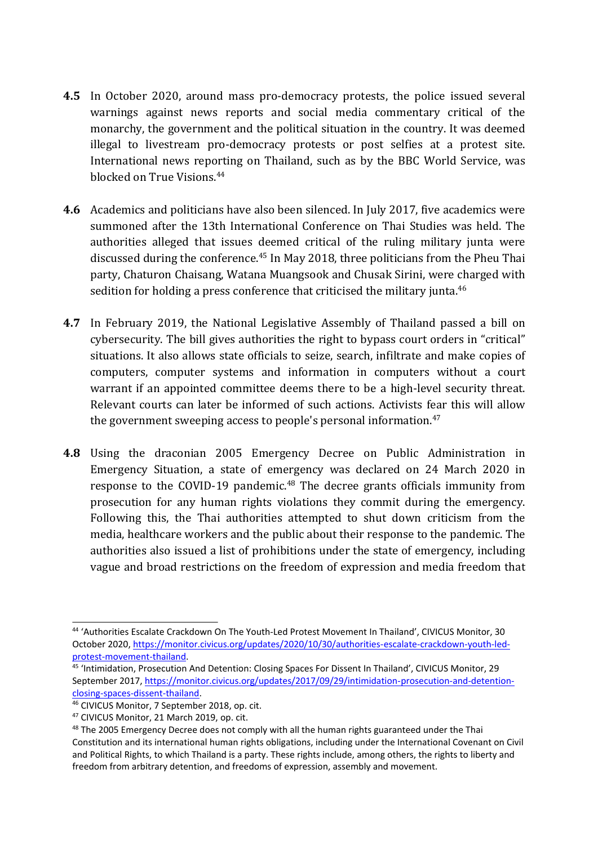- **4.5** In October 2020, around mass pro-democracy protests, the police issued several warnings against news reports and social media commentary critical of the monarchy, the governmen<sup>t</sup> and the political situation in the country. It was deemed illegal to livestream pro-democracy protests or post selfies at <sup>a</sup> protest site. International news reporting on Thailand, such as by the BBC World Service, was blocked on True Visions. 44
- **4.6** Academics and politicians have also been silenced. In July 2017, five academics were summoned after the 13th International Conference on Thai Studies was held. The authorities alleged that issues deemed critical of the ruling military junta were discussed during the conference. 45 In May 2018, three politicians from the Pheu Thai party, Chaturon Chaisang, Watana Muangsook and Chusak Sirini, were charged with sedition for holding a press conference that criticised the military junta. $^{46}$
- **4.7** In February 2019, the National Legislative Assembly of Thailand passed <sup>a</sup> bill on cybersecurity. The bill gives authorities the right to bypass court orders in "critical" situations. It also allows state officials to seize, search, infiltrate and make copies of computers, computer systems and information in computers without <sup>a</sup> court warrant if an appointed committee deems there to be <sup>a</sup> high-level security threat. Relevant courts can later be informed of such actions. Activists fear this will allow the governmen<sup>t</sup> sweeping access to people's personal information. 47
- **4.8** Using the draconian 2005 Emergency Decree on Public Administration in Emergency Situation, <sup>a</sup> state of emergency was declared on 24 March 2020 in response to the COVID-19 pandemic.<sup>48</sup> The decree grants officials immunity from prosecution for any human rights violations they commit during the emergency. Following this, the Thai authorities attempted to shut down criticism from the media, healthcare workers and the public about their response to the pandemic. The authorities also issued <sup>a</sup> list of prohibitions under the state of emergency, including vague and broad restrictions on the freedom of expression and media freedom that

<sup>44</sup> 'Authorities Escalate Crackdown On The Youth-Led Protest Movement In Thailand', CIVICUS Monitor, 30 October 2020, [https://monitor.civicus.org/updates/2020/10/30/authorities-escalate-crackdown-youth-led](https://monitor.civicus.org/updates/2020/10/30/authorities-escalate-crackdown-youth-led-protest-movement-thailand/)[protest-movement-thailand](https://monitor.civicus.org/updates/2020/10/30/authorities-escalate-crackdown-youth-led-protest-movement-thailand/).

<sup>&</sup>lt;sup>45</sup> 'Intimidation, Prosecution And Detention: Closing Spaces For Dissent In Thailand', CIVICUS Monitor, 29 September 2017, [https://monitor.civicus.org/updates/2017/09/29/intimidation-prosecution-and-detention](https://monitor.civicus.org/updates/2017/09/29/intimidation-prosecution-and-detention-closing-spaces-dissent-thailand/)[closing-spaces-dissent-thailand](https://monitor.civicus.org/updates/2017/09/29/intimidation-prosecution-and-detention-closing-spaces-dissent-thailand/).

<sup>46</sup> CIVICUS Monitor, 7 September 2018, op. cit.

<sup>47</sup> CIVICUS Monitor, 21 March 2019, op. cit.

 $^{48}$  The 2005 Emergency Decree does not comply with all the human rights guaranteed under the Thai Constitution and its international human rights obligations, including under the International Covenant on Civil and Political Rights, to which Thailand is <sup>a</sup> party. These rights include, among others, the rights to liberty and freedom from arbitrary detention, and freedoms of expression, assembly and movement.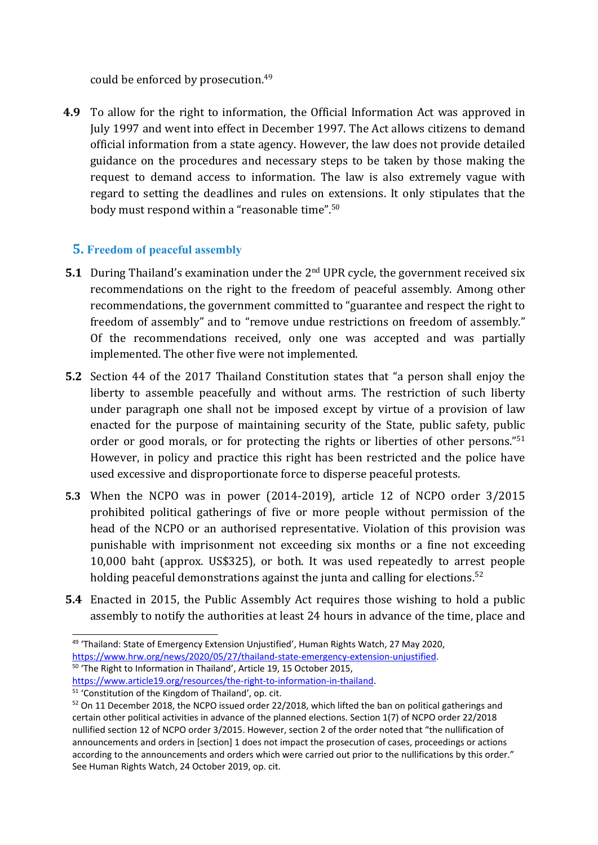could be enforced by prosecution. 49

**4.9** To allow for the right to information, the Official Information Act was approved in July 1997 and went into effect in December 1997. The Act allows citizens to demand official information from <sup>a</sup> state agency. However, the law does not provide detailed guidance on the procedures and necessary steps to be taken by those making the request to demand access to information. The law is also extremely vague with regard to setting the deadlines and rules on extensions. It only stipulates that the body must respond within <sup>a</sup> "reasonable time". 50

## **5. Freedom of peaceful assembly**

- **5.1** During Thailand'<sup>s</sup> examination under the <sup>2</sup>nd UPR cycle, the governmen<sup>t</sup> received six recommendations on the right to the freedom of peaceful assembly. Among other recommendations, the governmen<sup>t</sup> committed to "guarantee and respect the right to freedom of assembly" and to "remove undue restrictions on freedom of assembly." Of the recommendations received, only one was accepted and was partially implemented. The other five were not implemented.
- **5.2** Section 44 of the 2017 Thailand Constitution states that "<sup>a</sup> person shall enjoy the liberty to assemble peacefully and without arms. The restriction of such liberty under paragraph one shall not be imposed except by virtue of <sup>a</sup> provision of law enacted for the purpose of maintaining security of the State, public safety, public order or good morals, or for protecting the rights or liberties of other persons."<sup>51</sup> However, in policy and practice this right has been restricted and the police have used excessive and disproportionate force to disperse peaceful protests.
- **5.3** When the NCPO was in power (2014-2019), article 12 of NCPO order 3/2015 prohibited political gatherings of five or more people without permission of the head of the NCPO or an authorised representative. Violation of this provision was punishable with imprisonment not exceeding six months or <sup>a</sup> fine not exceeding 10,000 baht (approx. US\$325), or both. It was used repeatedly to arrest people holding peaceful demonstrations against the junta and calling for elections. 52
- **5.4** Enacted in 2015, the Public Assembly Act requires those wishing to hold <sup>a</sup> public assembly to notify the authorities at least 24 hours in advance of the time, place and

<sup>&</sup>lt;sup>49</sup> 'Thailand: State of Emergency Extension Unjustified', Human Rights Watch, 27 May 2020, <https://www.hrw.org/news/2020/05/27/thailand-state-emergency-extension-unjustified>. 50 'The Right to Information in Thailand', Article 19, 15 October 2015, [https://www.article19.org/resources/the-right-to-information-in-thailand](https://www.article19.org/resources/the-right-to-information-in-thailand/).

<sup>51</sup> 'Constitution of the Kingdom of Thailand', op. cit.

 $52$  On 11 December 2018, the NCPO issued order 22/2018, which lifted the ban on political gatherings and certain other political activities in advance of the planned elections. Section 1(7) of NCPO order 22/2018 nullified section 12 of NCPO order 3/2015. However, section 2 of the order noted that "the nullification of announcements and orders in [section] 1 does not impact the prosecution of cases, proceedings or actions according to the announcements and orders which were carried out prior to the nullifications by this order." See Human Rights Watch, 24 October 2019, op. cit.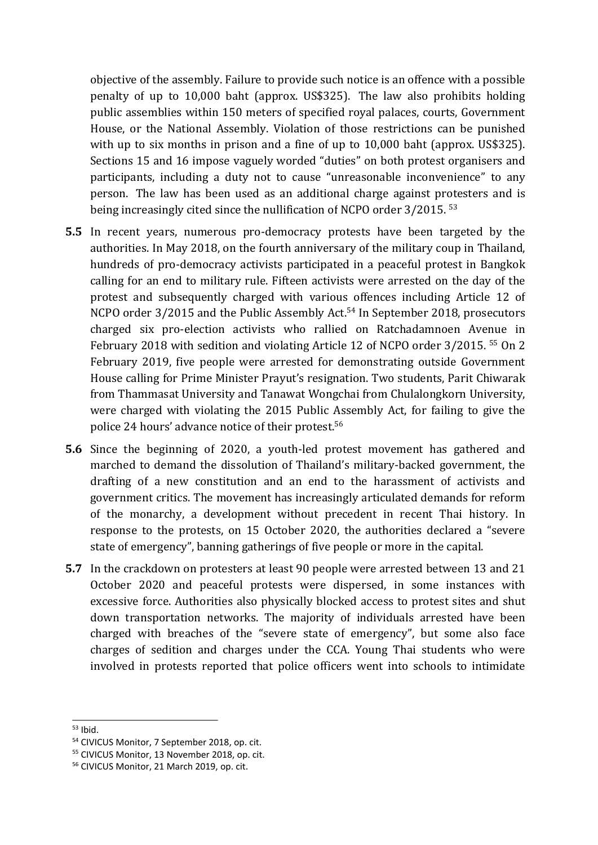objective of the assembly. Failure to provide such notice is an offence with <sup>a</sup> possible penalty of up to 10,000 baht (approx. US\$325). The law also prohibits holding public assemblies within 150 meters of specified royal palaces, courts, Government House, or the National Assembly. Violation of those restrictions can be punished with up to six months in prison and a fine of up to 10,000 baht (approx. US\$325). Sections 15 and 16 impose vaguely worded "duties" on both protest organisers and participants, including <sup>a</sup> duty not to cause "unreasonable inconvenience" to any person. The law has been used as an additional charge against protesters and is being increasingly cited since the nullification of NCPO order 3/2015.  $^{53}$ 

- **5.5** In recent years, numerous pro-democracy protests have been targeted by the authorities. In May 2018, on the fourth anniversary of the military coup in Thailand, hundreds of pro-democracy activists participated in <sup>a</sup> peaceful protest in Bangkok calling for an end to military rule. Fifteen activists were arrested on the day of the protest and subsequently charged with various offences including Article 12 of NCPO order 3/2015 and the Public Assembly Act. 54 In September 2018, prosecutors charged six pro-election activists who rallied on Ratchadamnoen Avenue in February 2018 with sedition and violating Article 12 of NCPO order 3/2015. 55 On 2 February 2019, five people were arrested for demonstrating outside Government House calling for Prime Minister Prayut'<sup>s</sup> resignation. Two students, Parit Chiwarak from Thammasat University and Tanawat Wongchai from Chulalongkorn University, were charged with violating the 2015 Public Assembly Act, for failing to give the police 24 hours' advance notice of their protest. 56
- **5.6** Since the beginning of 2020, <sup>a</sup> youth-led protest movement has gathered and marched to demand the dissolution of Thailand'<sup>s</sup> military-backed government, the drafting of <sup>a</sup> new constitution and an end to the harassment of activists and governmen<sup>t</sup> critics. The movement has increasingly articulated demands for reform of the monarchy, <sup>a</sup> development without precedent in recent Thai history. In response to the protests, on 15 October 2020, the authorities declared <sup>a</sup> "severe state of emergency", banning gatherings of five people or more in the capital.
- **5.7** In the crackdown on protesters at least 90 people were arrested between 13 and 21 October 2020 and peaceful protests were dispersed, in some instances with excessive force. Authorities also physically blocked access to protest sites and shut down transportation networks. The majority of individuals arrested have been charged with breaches of the "severe state of emergency", but some also face charges of sedition and charges under the CCA. Young Thai students who were involved in protests reported that police officers went into schools to intimidate

<sup>&</sup>lt;sup>53</sup> Ibid.

<sup>54</sup> CIVICUS Monitor, 7 September 2018, op. cit.

<sup>55</sup> CIVICUS Monitor, 13 November 2018, op. cit.

<sup>56</sup> CIVICUS Monitor, 21 March 2019, op. cit.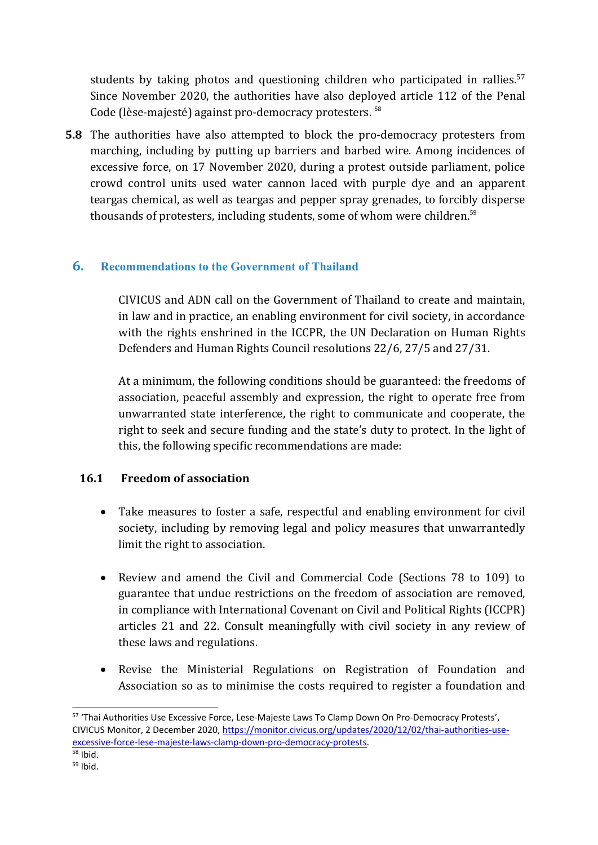students by taking photos and questioning children who participated in rallies. 57 Since November 2020, the authorities have also deployed article 112 of the Penal Code (lèse-majesté) against pro-democracy protesters. 58

**5.8** The authorities have also attempted to block the pro-democracy protesters from marching, including by putting up barriers and barbed wire. Among incidences of excessive force, on 17 November 2020, during <sup>a</sup> protest outside parliament, police crowd control units used water cannon laced with purple dye and an apparent teargas chemical, as well as teargas and pepper spray grenades, to forcibly disperse thousands of protesters, including students, some of whom were children.<sup>59</sup>

## **6. Recommendations to the Government of Thailand**

CIVICUS and ADN call on the Government of Thailand to create and maintain, in law and in practice, an enabling environment for civil society, in accordance with the rights enshrined in the ICCPR, the UN Declaration on Human Rights Defenders and Human Rights Council resolutions 22/6, 27/5 and 27/31.

At <sup>a</sup> minimum, the following conditions should be guaranteed: the freedoms of association, peaceful assembly and expression, the right to operate free from unwarranted state interference, the right to communicate and cooperate, the right to seek and secure funding and the state'<sup>s</sup> duty to protect. In the light of this, the following specific recommendations are made:

## **16.1 Freedom of association**

- $\bullet$  Take measures to foster <sup>a</sup> safe, respectful and enabling environment for civil society, including by removing legal and policy measures that unwarrantedly limit the right to association.
- $\bullet$  Review and amend the Civil and Commercial Code (Sections 78 to 109) to guarantee that undue restrictions on the freedom of association are removed, in compliance with International Covenant on Civil and Political Rights (ICCPR) articles 21 and 22. Consult meaningfully with civil society in any review of these laws and regulations.
- 0 Revise the Ministerial Regulations on Registration of Foundation and Association so as to minimise the costs required to register <sup>a</sup> foundation and

<sup>&</sup>lt;sup>57</sup> 'Thai Authorities Use Excessive Force, Lese-Majeste Laws To Clamp Down On Pro-Democracy Protests', CIVICUS Monitor, 2 December 2020, [https://monitor.civicus.org/updates/2020/12/02/thai-authorities-use](https://monitor.civicus.org/updates/2020/12/02/thai-authorities-use-excessive-force-lese-majeste-laws-clamp-down-pro-democracy-protests/)[excessive-force-lese-majeste-laws-clamp-down-pro-democracy-protests](https://monitor.civicus.org/updates/2020/12/02/thai-authorities-use-excessive-force-lese-majeste-laws-clamp-down-pro-democracy-protests/).

<sup>&</sup>lt;sup>58</sup> Ibid.

<sup>&</sup>lt;sup>59</sup> Ibid.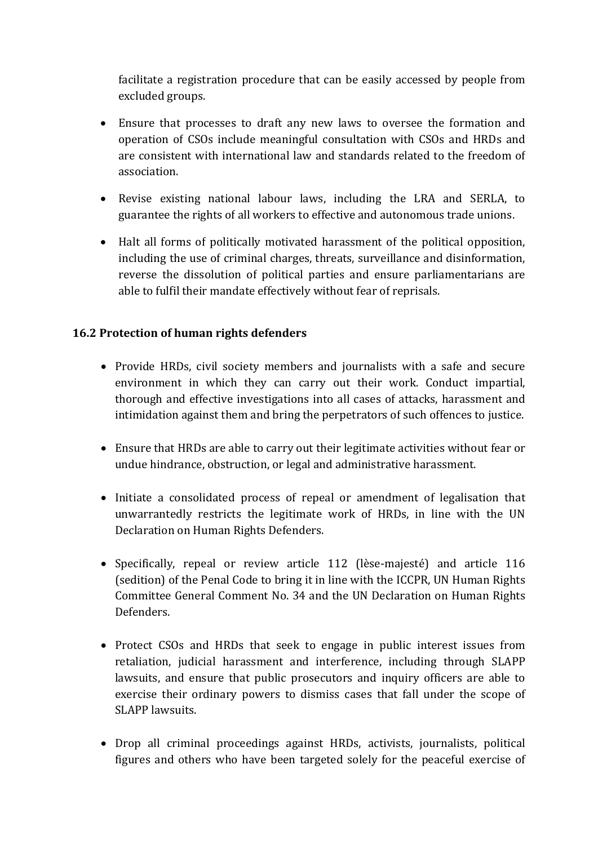facilitate <sup>a</sup> registration procedure that can be easily accessed by people from excluded groups.

- Ensure that processes to draft any new laws to oversee the formation and operation of CSOs include meaningful consultation with CSOs and HRDs and are consistent with international law and standards related to the freedom of association.
- $\bullet$  Revise existing national labour laws, including the LRA and SERLA, to guarantee the rights of all workers to effective and autonomous trade unions.
- Halt all forms of politically motivated harassment of the political opposition, including the use of criminal charges, threats, surveillance and disinformation, reverse the dissolution of political parties and ensure parliamentarians are able to fulfil their mandate effectively without fear of reprisals.

## **16.2 Protection of human rights defenders**

- Provide HRDs, civil society members and journalists with <sup>a</sup> safe and secure environment in which they can carry out their work. Conduct impartial, thorough and effective investigations into all cases of attacks, harassment and intimidation against them and bring the perpetrators of such offences to justice.
- Ensure that HRDs are able to carry out their legitimate activities without fear or undue hindrance, obstruction, or legal and administrative harassment.
- Initiate <sup>a</sup> consolidated process of repeal or amendment of legalisation that unwarrantedly restricts the legitimate work of HRDs, in line with the UN Declaration on Human Rights Defenders.
- Specifically, repeal or review article 112 (lèse-majesté) and article 116 (sedition) of the Penal Code to bring it in line with the ICCPR, UN Human Rights Committee General Comment No. 34 and the UN Declaration on Human Rights Defenders.
- Protect CSOs and HRDs that seek to engage in public interest issues from retaliation, judicial harassment and interference, including through SLAPP lawsuits, and ensure that public prosecutors and inquiry officers are able to exercise their ordinary powers to dismiss cases that fall under the scope of SLAPP lawsuits.
- Drop all criminal proceedings against HRDs, activists, journalists, political figures and others who have been targeted solely for the peaceful exercise of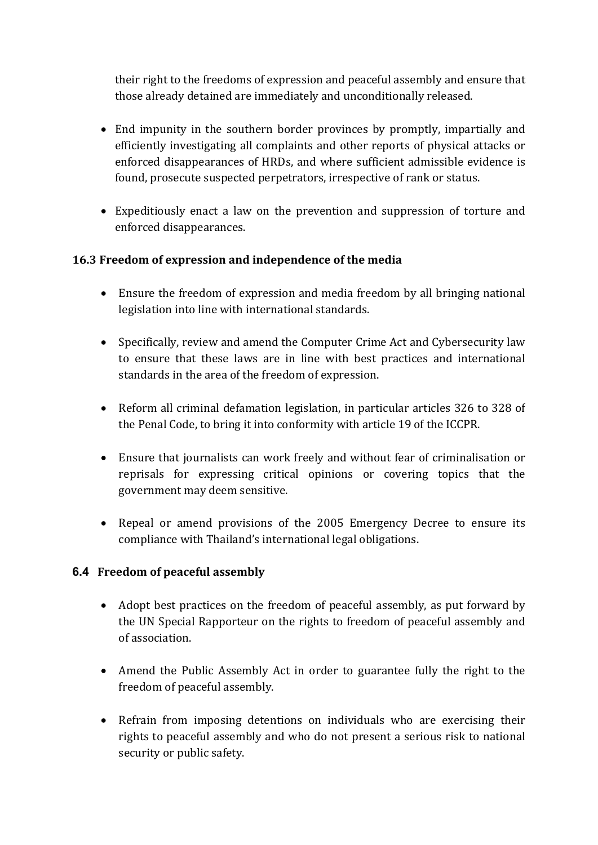their right to the freedoms of expression and peaceful assembly and ensure that those already detained are immediately and unconditionally released.

- End impunity in the southern border provinces by promptly, impartially and efficiently investigating all complaints and other reports of physical attacks or enforced disappearances of HRDs, and where sufficient admissible evidence is found, prosecute suspected perpetrators, irrespective of rank or status.
- Expeditiously enact <sup>a</sup> law on the prevention and suppression of torture and enforced disappearances.

## **16.3 Freedom of expression and independence of the media**

- Ensure the freedom of expression and media freedom by all bringing national legislation into line with international standards.
- Specifically, review and amend the Computer Crime Act and Cybersecurity law to ensure that these laws are in line with best practices and international standards in the area of the freedom of expression.
- Reform all criminal defamation legislation, in particular articles 326 to 328 of the Penal Code, to bring it into conformity with article 19 of the ICCPR.
- Ensure that journalists can work freely and without fear of criminalisation or reprisals for expressing critical opinions or covering topics that the governmen<sup>t</sup> may deem sensitive.
- Repeal or amend provisions of the 2005 Emergency Decree to ensure its compliance with Thailand'<sup>s</sup> international legal obligations.

## **6.4 Freedom of peaceful assembly**

- Adopt best practices on the freedom of peaceful assembly, as put forward by the UN Special Rapporteur on the rights to freedom of peaceful assembly and of association.
- Amend the Public Assembly Act in order to guarantee fully the right to the freedom of peaceful assembly.
- Refrain from imposing detentions on individuals who are exercising their rights to peaceful assembly and who do not present <sup>a</sup> serious risk to national security or public safety.